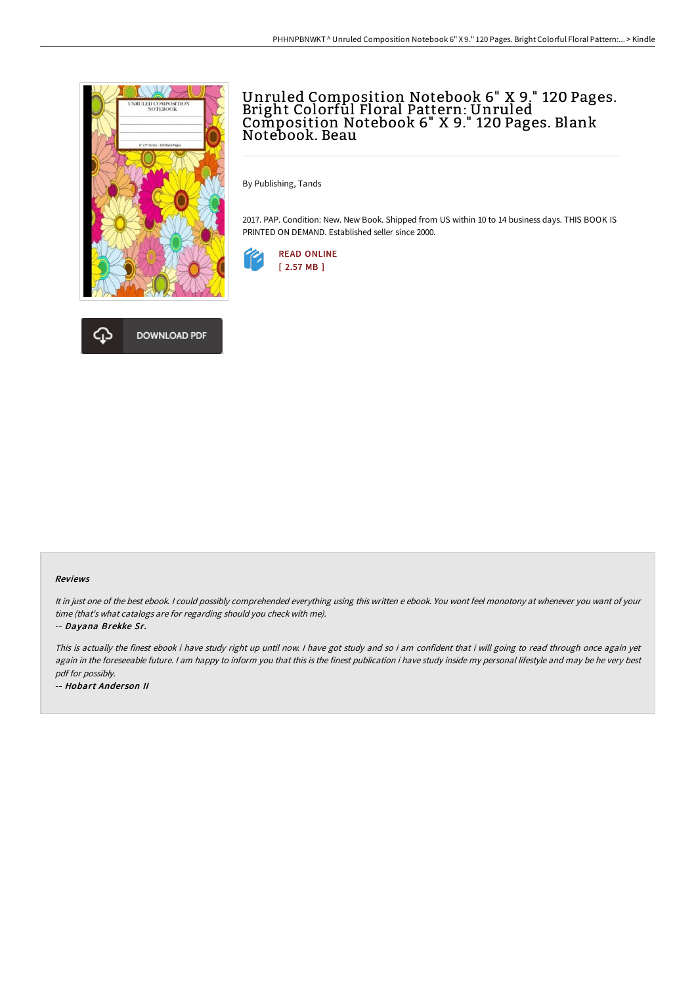

# Unruled Composition Notebook 6" X 9." 120 Pages. Bright Colorful Floral Pattern: Unruled Composition Notebook 6" X 9." 120 Pages. Blank Notebook. Beau

By Publishing, Tands

2017. PAP. Condition: New. New Book. Shipped from US within 10 to 14 business days. THIS BOOK IS PRINTED ON DEMAND. Established seller since 2000.





Reviews

It in just one of the best ebook. <sup>I</sup> could possibly comprehended everything using this written <sup>e</sup> ebook. You wont feel monotony at whenever you want of your time (that's what catalogs are for regarding should you check with me).

-- Dayana Brekke Sr.

This is actually the finest ebook i have study right up until now. <sup>I</sup> have got study and so i am confident that i will going to read through once again yet again in the foreseeable future. I am happy to inform you that this is the finest publication i have study inside my personal lifestyle and may be he very best pdf for possibly.

-- Hobart Ander son II